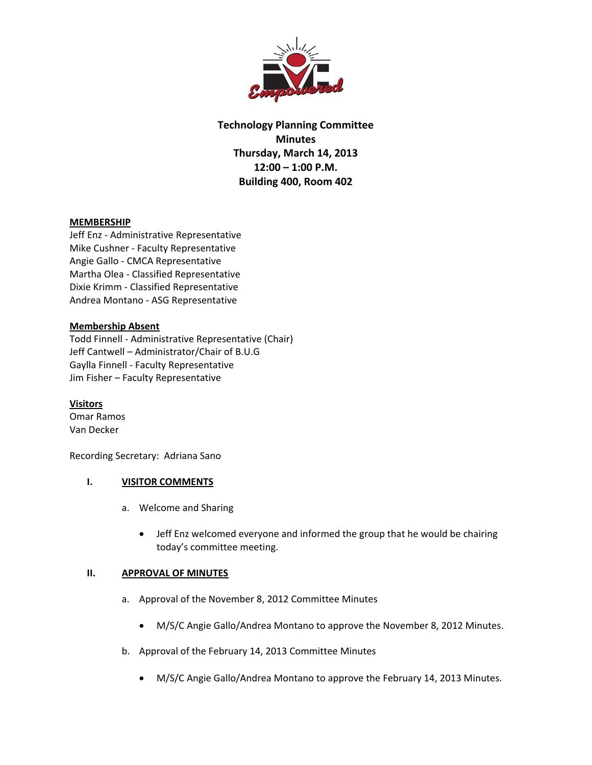

**Technology Planning Committee Minutes Thursday, March 14, 2013 12:00 – 1:00 P.M. Building 400, Room 402**

## **MEMBERSHIP**

Jeff Enz ‐ Administrative Representative Mike Cushner ‐ Faculty Representative Angie Gallo ‐ CMCA Representative Martha Olea ‐ Classified Representative Dixie Krimm ‐ Classified Representative Andrea Montano ‐ ASG Representative

# **Membership Absent**

Todd Finnell ‐ Administrative Representative (Chair) Jeff Cantwell – Administrator/Chair of B.U.G Gaylla Finnell ‐ Faculty Representative Jim Fisher – Faculty Representative

## **Visitors**

Omar Ramos Van Decker

Recording Secretary: Adriana Sano

## **I. VISITOR COMMENTS**

- a. Welcome and Sharing
	- Jeff Enz welcomed everyone and informed the group that he would be chairing today's committee meeting.

## **II. APPROVAL OF MINUTES**

- a. Approval of the November 8, 2012 Committee Minutes
	- M/S/C Angie Gallo/Andrea Montano to approve the November 8, 2012 Minutes.
- b. Approval of the February 14, 2013 Committee Minutes
	- M/S/C Angie Gallo/Andrea Montano to approve the February 14, 2013 Minutes.